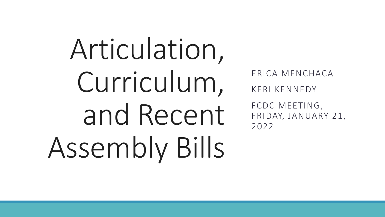Articulation, Curriculum, and Recent Assembly Bills

ERICA MENCHACA KERI KENNEDY FCDC MEETING, FRIDAY, JANUARY 21, 2022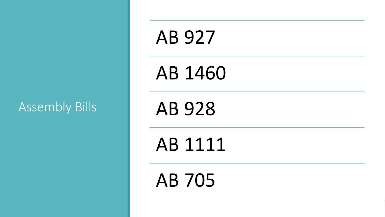# Assembly Bills

# AB 927

AB 1460

AB 928

AB 1111

AB 705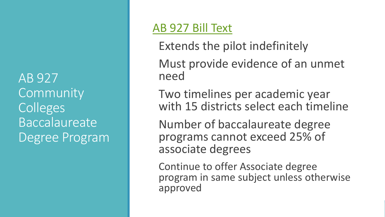AB 927 **Community** Colleges Baccalaureate Degree Program

## [AB 927 Bill Text](https://leginfo.legislature.ca.gov/faces/billTextClient.xhtml?bill_id=202120220AB927)

Extends the pilot indefinitely

Must provide evidence of an unmet need

Two timelines per academic year with 15 districts select each timeline

Number of baccalaureate degree programs cannot exceed 25% of associate degrees

Continue to offer Associate degree program in same subject unless otherwise approved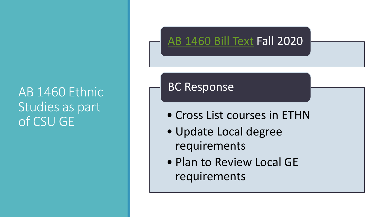# AB 1460 Ethnic Studies as part of CSU GE

# [AB 1460 Bill Text](https://leginfo.legislature.ca.gov/faces/billTextClient.xhtml?bill_id=201920200AB1460) Fall 2020

#### BC Response

- Cross List courses in ETHN
- Update Local degree requirements
- Plan to Review Local GE requirements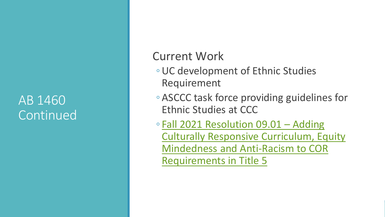# AB 1460 Continued

### Current Work

- UC development of Ethnic Studies Requirement
- ASCCC task force providing guidelines for Ethnic Studies at CCC
- Fall 2021 Resolution 09.01 Adding [Culturally Responsive Curriculum, Equity](https://asccc.org/resolutions/adding-culturally-responsive-curriculum-equity-mindedness-and-anti-racism-course-outline)  Mindedness and Anti-Racism to COR Requirements in Title 5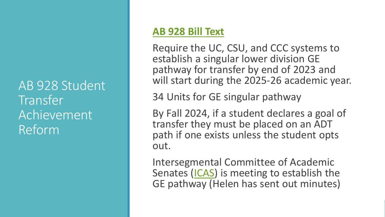AB 928 Student Transfer Achievement Reform

#### **[AB 928 Bill Text](https://leginfo.legislature.ca.gov/faces/billNavClient.xhtml?bill_id=202120220AB928)**

Require the UC, CSU, and CCC systems to establish a singular lower division GE pathway for transfer by end of 2023 and will start during the 2025-26 academic year.

34 Units for GE singular pathway

By Fall 2024, if a student declares a goal of transfer they must be placed on an ADT path if one exists unless the student opts out.

Intersegmental Committee of Academic Senates ([ICAS](https://icas-ca.org/)) is meeting to establish the GE pathway (Helen has sent out minutes)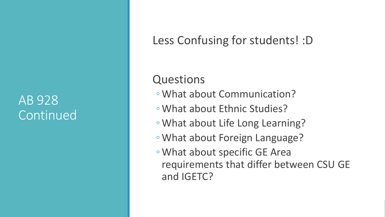# AB 928 Continued

Less Confusing for students! :D

Questions

- What about Communication?
- What about Ethnic Studies?
- What about Life Long Learning?
- What about Foreign Language?
- What about specific GE Area requirements that differ between CSU GE and IGETC?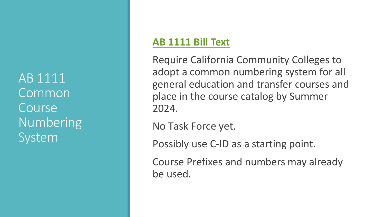AB 1111 Common Course Numbering System

#### **[AB 1111 Bill Text](https://leginfo.legislature.ca.gov/faces/billTextClient.xhtml?bill_id=202120220AB1111)**

Require California Community Colleges to adopt a common numbering system for all general education and transfer courses and place in the course catalog by Summer 2024.

No Task Force yet.

Possibly use C-ID as a starting point.

Course Prefixes and numbers may already be used.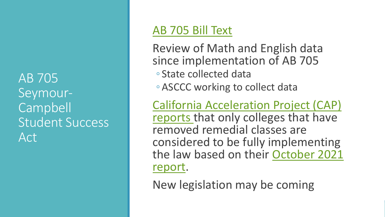AB 705 Seymour-Campbell Student Success Act

### [AB 705 Bill Text](https://leginfo.legislature.ca.gov/faces/billTextClient.xhtml?bill_id=201720180AB705)

Review of Math and English data since implementation of AB 705 ◦ State collected data

◦ ASCCC working to collect data

California Acceleration Project (CAP) [reports that only colleges that have](https://edsource.org/2021/california-community-colleges-unable-to-justify-placing-students-in-remedial-classes-study-finds/662777)  removed remedial classes are considered to be fully implementing [the law based on their October 2021](https://accelerationproject.org/Portals/0/Documents/CAPValidationReportAnalysisOct2021.pdf) report.

New legislation may be coming